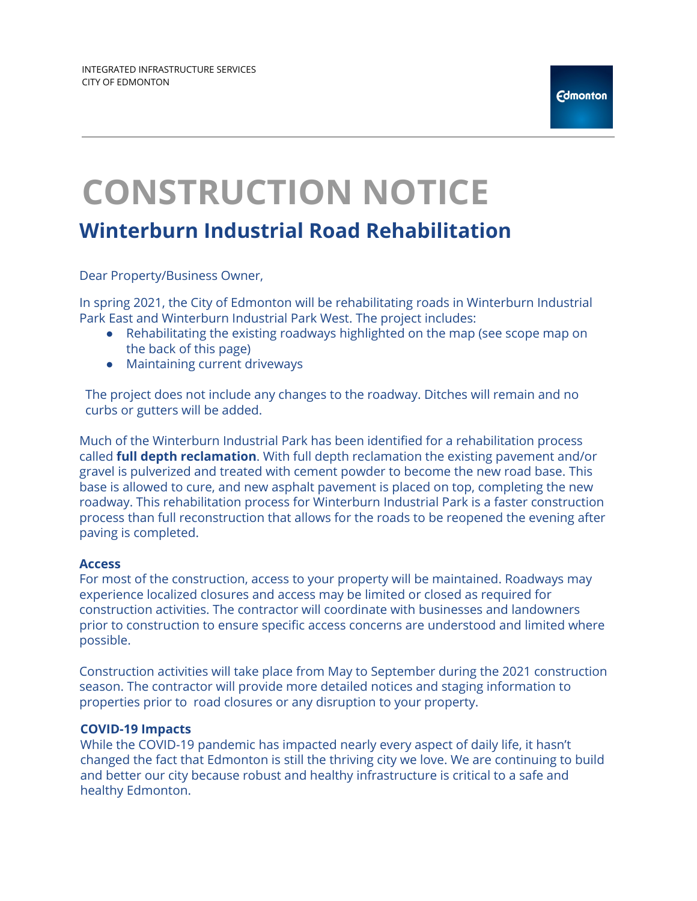# **CONSTRUCTION NOTICE**

## **Winterburn Industrial Road Rehabilitation**

Dear Property/Business Owner,

In spring 2021, the City of Edmonton will be rehabilitating roads in Winterburn Industrial Park East and Winterburn Industrial Park West. The project includes:

- Rehabilitating the existing roadways highlighted on the map (see scope map on the back of this page)
- Maintaining current driveways

The project does not include any changes to the roadway. Ditches will remain and no curbs or gutters will be added.

Much of the Winterburn Industrial Park has been identified for a rehabilitation process called **full depth reclamation**. With full depth reclamation the existing pavement and/or gravel is pulverized and treated with cement powder to become the new road base. This base is allowed to cure, and new asphalt pavement is placed on top, completing the new roadway. This rehabilitation process for Winterburn Industrial Park is a faster construction process than full reconstruction that allows for the roads to be reopened the evening after paving is completed.

#### **Access**

For most of the construction, access to your property will be maintained. Roadways may experience localized closures and access may be limited or closed as required for construction activities. The contractor will coordinate with businesses and landowners prior to construction to ensure specific access concerns are understood and limited where possible.

Construction activities will take place from May to September during the 2021 construction season. The contractor will provide more detailed notices and staging information to properties prior to road closures or any disruption to your property.

#### **COVID-19 Impacts**

While the COVID-19 pandemic has impacted nearly every aspect of daily life, it hasn't changed the fact that Edmonton is still the thriving city we love. We are continuing to build and better our city because robust and healthy infrastructure is critical to a safe and healthy Edmonton.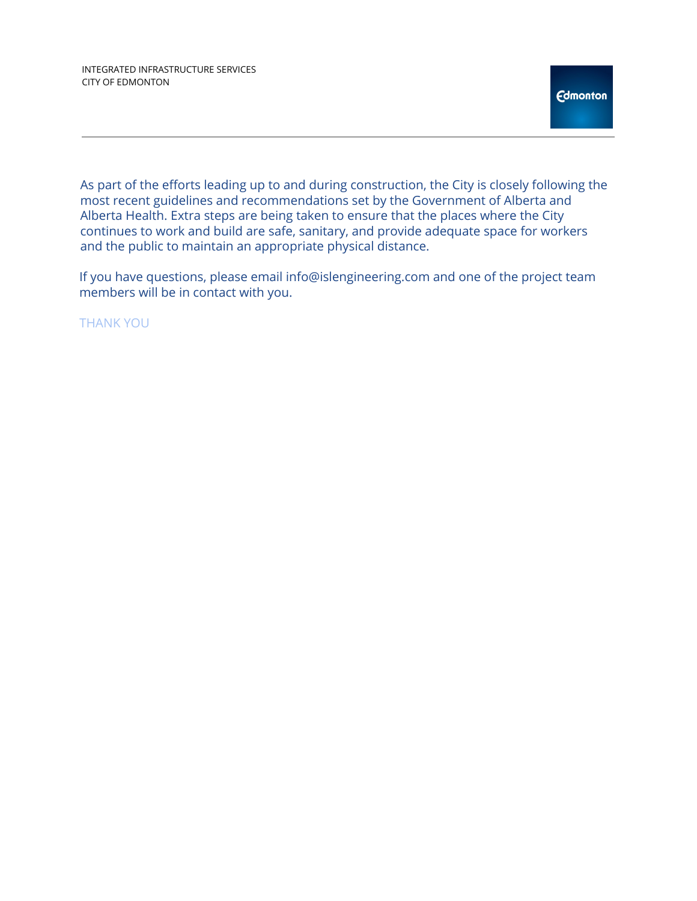As part of the efforts leading up to and during construction, the City is closely following the most recent guidelines and recommendations set by the Government of Alberta and Alberta Health. Extra steps are being taken to ensure that the places where the City continues to work and build are safe, sanitary, and provide adequate space for workers and the public to maintain an appropriate physical distance.

If you have questions, please email info@islengineering.com and one of the project team members will be in contact with you.

THANK YOU